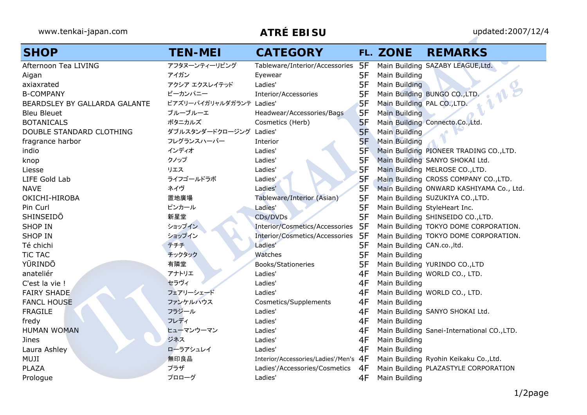| <b>SHOP</b>                   | <b>TEN-MEI</b>           | <b>CATEGORY</b>                       |     | FL. ZONE                      | <b>REMARKS</b>                              |
|-------------------------------|--------------------------|---------------------------------------|-----|-------------------------------|---------------------------------------------|
| Afternoon Tea LIVING          | アフタヌーンティーリビング            | Tableware/Interior/Accessories        | 5F  |                               | Main Building SAZABY LEAGUE, Ltd.           |
| Aigan                         | アイガン                     | Eyewear                               | 5F  | Main Building                 |                                             |
| axiaxrated                    | アクシア エクスレイテッド            | Ladies'                               | 5F  | Main Building                 |                                             |
| <b>B-COMPANY</b>              | ビーカンパニー                  | Interior/Accessories                  | 5F  |                               | Main Building BUNGO CO., LTD.               |
| BEARDSLEY BY GALLARDA GALANTE | ビアズリーバイガリャルダガランテ Ladies' |                                       | 5F  | Main Building PAL CO., LTD.   |                                             |
| <b>Bleu Bleuet</b>            | ブルーブルーエ                  | Headwear/Accessories/Bags             | 5F  | Main Building                 |                                             |
| <b>BOTANICALS</b>             | ボタニカルズ                   | Cosmetics (Herb)                      | 5F  |                               | Main Building Connecto.Co., Ltd.            |
| DOUBLE STANDARD CLOTHING      | ダブルスタンダードクロージング          | Ladies'                               | 5F  | Main Building                 |                                             |
| fragrance harbor              | フレグランスハーバー               | Interior                              | 5F  | <b>Main Building</b>          |                                             |
| indio                         | インディオ                    | Ladies'                               | 5F  |                               | Main Building PIONEER TRADING CO., LTD.     |
| knop                          | クノップ                     | Ladies'                               | 5F  |                               | Main Building SANYO SHOKAI Ltd.             |
| Liesse                        | リエス                      | Ladies'                               | 5F  |                               | Main Building MELROSE CO., LTD.             |
| LIFE Gold Lab                 | ライフゴールドラボ                | Ladies'                               | 5F  |                               | Main Building CROSS COMPANY CO., LTD.       |
| <b>NAVE</b>                   | ネイヴ                      | Ladies'                               | 5F  |                               | Main Building ONWARD KASHIYAMA Co., Ltd.    |
| OKICHI-HIROBA                 | 置地廣場                     | Tableware/Interior (Asian)            | 5F  |                               | Main Building SUZUKIYA CO., LTD.            |
| Pin Curl                      | ピンカール                    | Ladies'                               | 5F  | Main Building StyleHeart Inc. |                                             |
| SHINSEIDO                     | 新星堂                      | CDs/DVDs                              | 5F  |                               | Main Building SHINSEIDO CO., LTD.           |
| <b>SHOP IN</b>                | ショップイン                   | Interior/Cosmetics/Accessories        | 5F  |                               | Main Building TOKYO DOME CORPORATION.       |
| <b>SHOP IN</b>                | ショップイン                   | Interior/Cosmetics/Accessories        | -5F |                               | Main Building TOKYO DOME CORPORATION.       |
| Té chichi                     | テチチ                      | Ladies'                               | 5F  | Main Building CAN.co., ltd.   |                                             |
| <b>TiC TAC</b>                | チックタック                   | Watches                               | 5F  | Main Building                 |                                             |
| YŪRINDŌ                       | 有隣堂                      | Books/Stationeries                    | 5F  |                               | Main Building YURINDO CO., LTD              |
| anateliér                     | アナトリエ                    | Ladies'                               | 4F  |                               | Main Building WORLD CO., LTD.               |
| C'est la vie !                | セラヴィ                     | Ladies'                               | 4F  | Main Building                 |                                             |
| <b>FAIRY SHADE</b>            | フェアリーシェード                | Ladies'                               | 4F  |                               | Main Building WORLD CO., LTD.               |
| <b>FANCL HOUSE</b>            | ファンケルハウス                 | Cosmetics/Supplements                 | 4F  | Main Building                 |                                             |
| <b>FRAGILE</b>                | フラジール                    | Ladies'                               | 4F  |                               | Main Building SANYO SHOKAI Ltd.             |
| fredy                         | フレディ                     | Ladies'                               | 4F  | Main Building                 |                                             |
| <b>HUMAN WOMAN</b>            | ヒューマンウーマン                | Ladies'                               | 4F  |                               | Main Building Sanei-International CO., LTD. |
| Jines                         | ジネス                      | Ladies'                               | 4F  | Main Building                 |                                             |
| Laura Ashley                  | ローラアシュレイ                 | Ladies'                               | 4F  | Main Building                 |                                             |
| MUJI                          | 無印良品                     | Interior/Accessories/Ladies'/Men's 4F |     |                               | Main Building Ryohin Keikaku Co., Ltd.      |
| <b>PLAZA</b>                  | プラザ                      | Ladies'/Accessories/Cosmetics         | 4F  |                               | Main Building PLAZASTYLE CORPORATION        |
| Prologue                      | プロローグ                    | Ladies'                               | 4F  | Main Building                 |                                             |